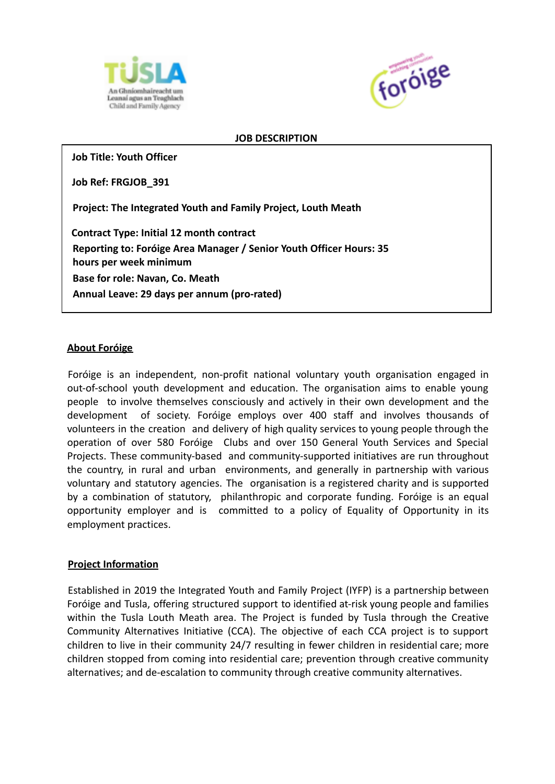



#### **JOB DESCRIPTION**

**Job Title: Youth Officer**

**Job Ref: FRGJOB\_391**

**Project: The Integrated Youth and Family Project, Louth Meath**

**Contract Type: Initial 12 month contract Reporting to: Foróige Area Manager / Senior Youth Officer Hours: 35 hours per week minimum Base for role: Navan, Co. Meath Annual Leave: 29 days per annum (pro-rated)**

#### **About Foróige**

Foróige is an independent, non-profit national voluntary youth organisation engaged in out-of-school youth development and education. The organisation aims to enable young people to involve themselves consciously and actively in their own development and the development of society. Foróige employs over 400 staff and involves thousands of volunteers in the creation and delivery of high quality services to young people through the operation of over 580 Foróige Clubs and over 150 General Youth Services and Special Projects. These community-based and community-supported initiatives are run throughout the country, in rural and urban environments, and generally in partnership with various voluntary and statutory agencies. The organisation is a registered charity and is supported by a combination of statutory, philanthropic and corporate funding. Foróige is an equal opportunity employer and is committed to a policy of Equality of Opportunity in its employment practices.

#### **Project Information**

Established in 2019 the Integrated Youth and Family Project (IYFP) is a partnership between Foróige and Tusla, offering structured support to identified at-risk young people and families within the Tusla Louth Meath area. The Project is funded by Tusla through the Creative Community Alternatives Initiative (CCA). The objective of each CCA project is to support children to live in their community 24/7 resulting in fewer children in residential care; more children stopped from coming into residential care; prevention through creative community alternatives; and de-escalation to community through creative community alternatives.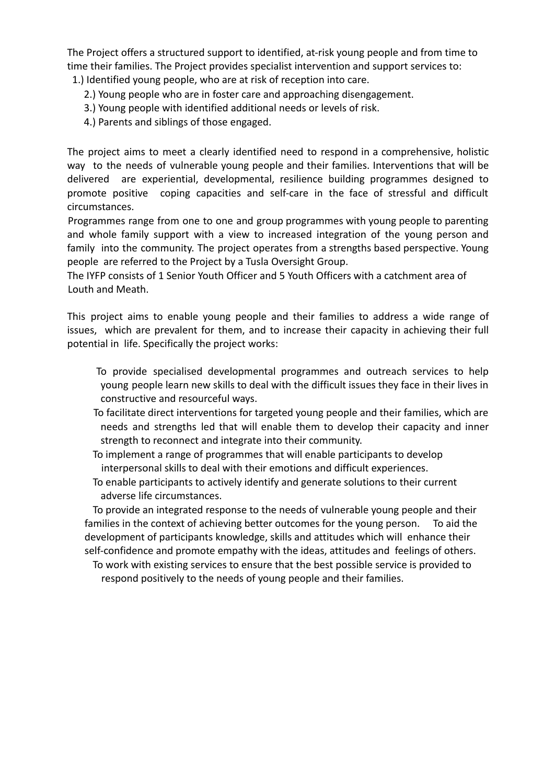The Project offers a structured support to identified, at-risk young people and from time to time their families. The Project provides specialist intervention and support services to: 1.) Identified young people, who are at risk of reception into care.

- 2.) Young people who are in foster care and approaching disengagement.
- 3.) Young people with identified additional needs or levels of risk.
- 4.) Parents and siblings of those engaged.

The project aims to meet a clearly identified need to respond in a comprehensive, holistic way to the needs of vulnerable young people and their families. Interventions that will be delivered are experiential, developmental, resilience building programmes designed to promote positive coping capacities and self-care in the face of stressful and difficult circumstances.

Programmes range from one to one and group programmes with young people to parenting and whole family support with a view to increased integration of the young person and family into the community. The project operates from a strengths based perspective. Young people are referred to the Project by a Tusla Oversight Group.

The IYFP consists of 1 Senior Youth Officer and 5 Youth Officers with a catchment area of Louth and Meath.

This project aims to enable young people and their families to address a wide range of issues, which are prevalent for them, and to increase their capacity in achieving their full potential in life. Specifically the project works:

- To provide specialised developmental programmes and outreach services to help young people learn new skills to deal with the difficult issues they face in their lives in constructive and resourceful ways.
- To facilitate direct interventions for targeted young people and their families, which are needs and strengths led that will enable them to develop their capacity and inner strength to reconnect and integrate into their community.
- To implement a range of programmes that will enable participants to develop interpersonal skills to deal with their emotions and difficult experiences.
- To enable participants to actively identify and generate solutions to their current adverse life circumstances.

To provide an integrated response to the needs of vulnerable young people and their families in the context of achieving better outcomes for the young person. To aid the development of participants knowledge, skills and attitudes which will enhance their self-confidence and promote empathy with the ideas, attitudes and feelings of others.

To work with existing services to ensure that the best possible service is provided to respond positively to the needs of young people and their families.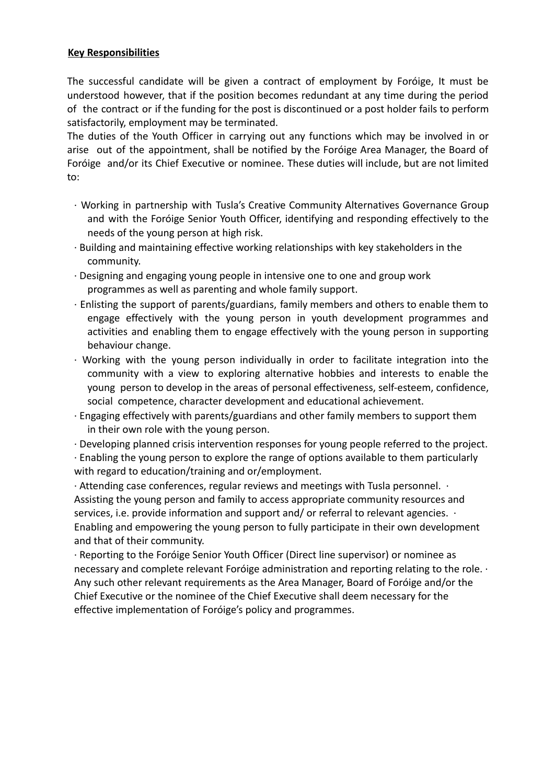## **Key Responsibilities**

The successful candidate will be given a contract of employment by Foróige, It must be understood however, that if the position becomes redundant at any time during the period of the contract or if the funding for the post is discontinued or a post holder fails to perform satisfactorily, employment may be terminated.

The duties of the Youth Officer in carrying out any functions which may be involved in or arise out of the appointment, shall be notified by the Foróige Area Manager, the Board of Foróige and/or its Chief Executive or nominee. These duties will include, but are not limited to:

- ∙ Working in partnership with Tusla's Creative Community Alternatives Governance Group and with the Foróige Senior Youth Officer, identifying and responding effectively to the needs of the young person at high risk.
- ∙ Building and maintaining effective working relationships with key stakeholders in the community.
- ∙ Designing and engaging young people in intensive one to one and group work programmes as well as parenting and whole family support.
- ∙ Enlisting the support of parents/guardians, family members and others to enable them to engage effectively with the young person in youth development programmes and activities and enabling them to engage effectively with the young person in supporting behaviour change.
- ∙ Working with the young person individually in order to facilitate integration into the community with a view to exploring alternative hobbies and interests to enable the young person to develop in the areas of personal effectiveness, self-esteem, confidence, social competence, character development and educational achievement.
- ∙ Engaging effectively with parents/guardians and other family members to support them in their own role with the young person.

∙ Developing planned crisis intervention responses for young people referred to the project. ∙ Enabling the young person to explore the range of options available to them particularly with regard to education/training and or/employment.

∙ Attending case conferences, regular reviews and meetings with Tusla personnel. ∙ Assisting the young person and family to access appropriate community resources and services, i.e. provide information and support and/ or referral to relevant agencies.  $\cdot$ Enabling and empowering the young person to fully participate in their own development and that of their community.

∙ Reporting to the Foróige Senior Youth Officer (Direct line supervisor) or nominee as necessary and complete relevant Foróige administration and reporting relating to the role. ∙ Any such other relevant requirements as the Area Manager, Board of Foróige and/or the Chief Executive or the nominee of the Chief Executive shall deem necessary for the effective implementation of Foróige's policy and programmes.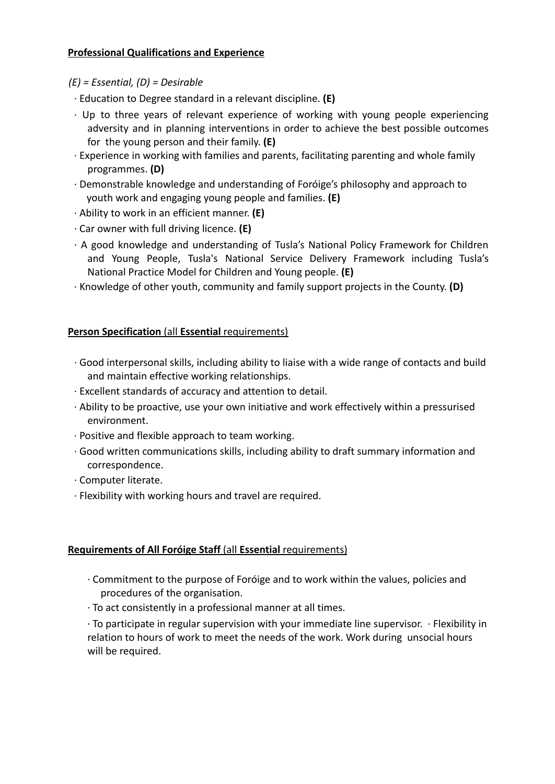## **Professional Qualifications and Experience**

- *(E) = Essential, (D) = Desirable*
- ∙ Education to Degree standard in a relevant discipline. **(E)**
- ∙ Up to three years of relevant experience of working with young people experiencing adversity and in planning interventions in order to achieve the best possible outcomes for the young person and their family. **(E)**
- ∙ Experience in working with families and parents, facilitating parenting and whole family programmes. **(D)**
- ∙ Demonstrable knowledge and understanding of Foróige's philosophy and approach to youth work and engaging young people and families. **(E)**
- ∙ Ability to work in an efficient manner. **(E)**
- ∙ Car owner with full driving licence. **(E)**
- ∙ A good knowledge and understanding of Tusla's National Policy Framework for Children and Young People, Tusla's National Service Delivery Framework including Tusla's National Practice Model for Children and Young people. **(E)**
- ∙ Knowledge of other youth, community and family support projects in the County. **(D)**

# **Person Specification** (all **Essential** requirements)

- ∙ Good interpersonal skills, including ability to liaise with a wide range of contacts and build and maintain effective working relationships.
- ∙ Excellent standards of accuracy and attention to detail.
- ∙ Ability to be proactive, use your own initiative and work effectively within a pressurised environment.
- ∙ Positive and flexible approach to team working.
- ∙ Good written communications skills, including ability to draft summary information and correspondence.
- ∙ Computer literate.
- ∙ Flexibility with working hours and travel are required.

# **Requirements of All Foróige Staff** (all **Essential** requirements)

- ∙ Commitment to the purpose of Foróige and to work within the values, policies and procedures of the organisation.
- ∙ To act consistently in a professional manner at all times.

∙ To participate in regular supervision with your immediate line supervisor. ∙ Flexibility in relation to hours of work to meet the needs of the work. Work during unsocial hours will be required.